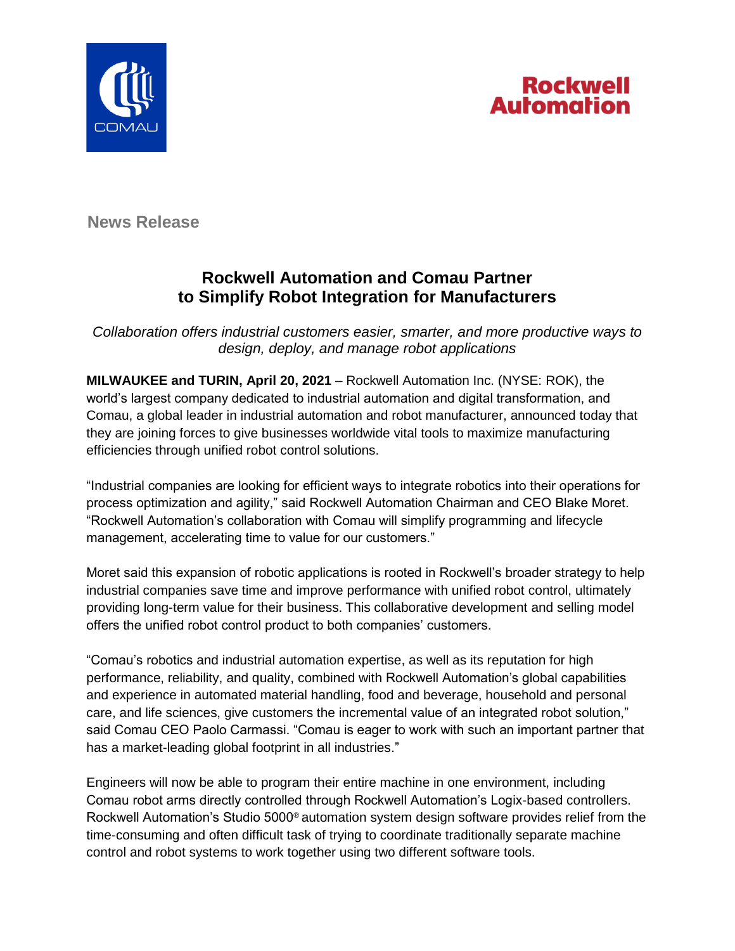



**News Release**

## **Rockwell Automation and Comau Partner to Simplify Robot Integration for Manufacturers**

*Collaboration offers industrial customers easier, smarter, and more productive ways to design, deploy, and manage robot applications*

**MILWAUKEE and TURIN, April 20, 2021** – Rockwell Automation Inc. (NYSE: ROK), the world's largest company dedicated to industrial automation and digital transformation, and Comau, a global leader in industrial automation and robot manufacturer, announced today that they are joining forces to give businesses worldwide vital tools to maximize manufacturing efficiencies through unified robot control solutions.

"Industrial companies are looking for efficient ways to integrate robotics into their operations for process optimization and agility," said Rockwell Automation Chairman and CEO Blake Moret. "Rockwell Automation's collaboration with Comau will simplify programming and lifecycle management, accelerating time to value for our customers."

Moret said this expansion of robotic applications is rooted in Rockwell's broader strategy to help industrial companies save time and improve performance with unified robot control, ultimately providing long-term value for their business. This collaborative development and selling model offers the unified robot control product to both companies' customers.

"Comau's robotics and industrial automation expertise, as well as its reputation for high performance, reliability, and quality, combined with Rockwell Automation's global capabilities and experience in automated material handling, food and beverage, household and personal care, and life sciences, give customers the incremental value of an integrated robot solution," said Comau CEO Paolo Carmassi. "Comau is eager to work with such an important partner that has a market-leading global footprint in all industries."

Engineers will now be able to program their entire machine in one environment, including Comau robot arms directly controlled through Rockwell Automation's Logix-based controllers. Rockwell Automation's Studio 5000® automation system design software provides relief from the time-consuming and often difficult task of trying to coordinate traditionally separate machine control and robot systems to work together using two different software tools.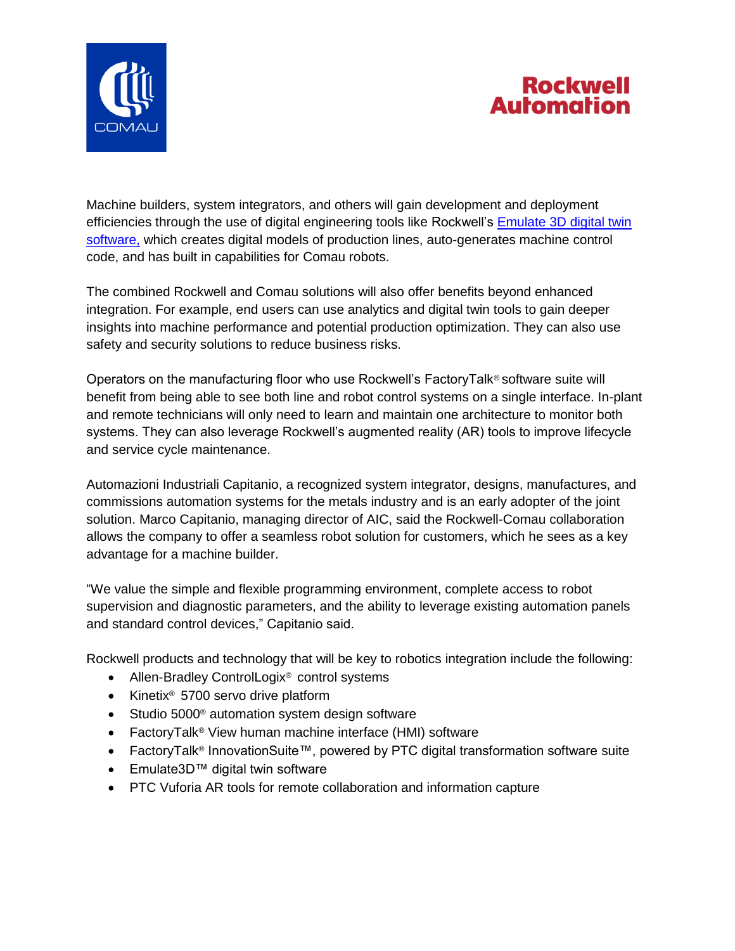



Machine builders, system integrators, and others will gain development and deployment efficiencies through the use of digital engineering tools like Rockwell's [Emulate 3D digital twin](https://www.rockwellautomation.com/en-us/products/software/factorytalk/designsuite/emulate.html)  [software,](https://www.rockwellautomation.com/en-us/products/software/factorytalk/designsuite/emulate.html) which creates digital models of production lines, auto-generates machine control code, and has built in capabilities for Comau robots.

The combined Rockwell and Comau solutions will also offer benefits beyond enhanced integration. For example, end users can use analytics and digital twin tools to gain deeper insights into machine performance and potential production optimization. They can also use safety and security solutions to reduce business risks.

Operators on the manufacturing floor who use Rockwell's FactoryTalk® software suite will benefit from being able to see both line and robot control systems on a single interface. In-plant and remote technicians will only need to learn and maintain one architecture to monitor both systems. They can also leverage Rockwell's augmented reality (AR) tools to improve lifecycle and service cycle maintenance.

Automazioni Industriali Capitanio, a recognized system integrator, designs, manufactures, and commissions automation systems for the metals industry and is an early adopter of the joint solution. Marco Capitanio, managing director of AIC, said the Rockwell-Comau collaboration allows the company to offer a seamless robot solution for customers, which he sees as a key advantage for a machine builder.

"We value the simple and flexible programming environment, complete access to robot supervision and diagnostic parameters, and the ability to leverage existing automation panels and standard control devices," Capitanio said.

Rockwell products and technology that will be key to robotics integration include the following:

- Allen-Bradley ControlLogix<sup>®</sup> control systems
- Kinetix<sup>®</sup> 5700 servo drive platform
- Studio 5000<sup>®</sup> automation system design software
- FactoryTalk<sup>®</sup> View human machine interface (HMI) software
- FactoryTalk® InnovationSuite™, powered by PTC digital transformation software suite
- Emulate3D™ digital twin software
- PTC Vuforia AR tools for remote collaboration and information capture